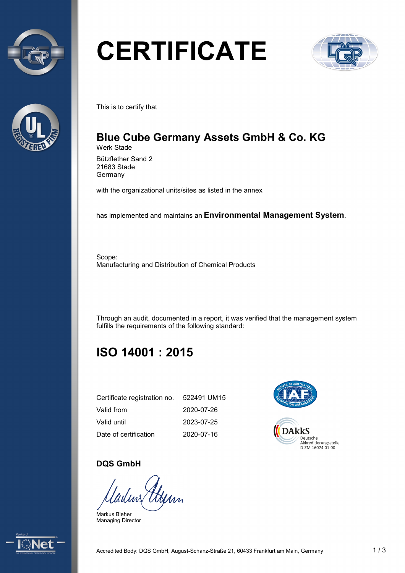



# **CERTIFICATE**



This is to certify that

## **Blue Cube Germany Assets GmbH & Co. KG** Werk Stade

Bützflether Sand 2 21683 Stade **Germany** 

with the organizational units/sites as listed in the annex

has implemented and maintains an **Environmental Management System**.

Scope: Manufacturing and Distribution of Chemical Products

Through an audit, documented in a report, it was verified that the management system fulfills the requirements of the following standard:

## **ISO 14001 : 2015**

| Certificate registration no. | 522491 UM15 |
|------------------------------|-------------|
| Valid from                   | 2020-07-26  |
| Valid until                  | 2023-07-25  |
| Date of certification        | 2020-07-16  |



### **DQS GmbH**

Gerry

Markus Bleher Managing Director

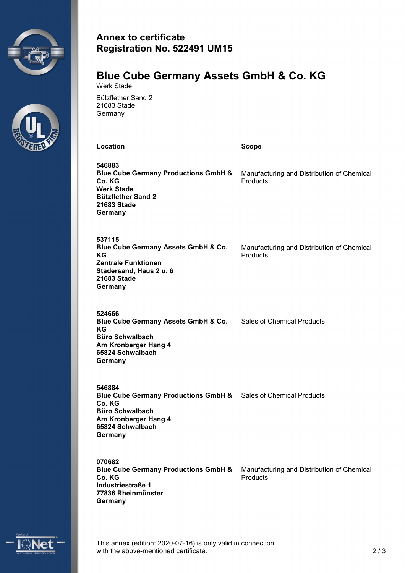



## **Annex to certificate Registration No. 522491 UM15**

#### **Blue Cube Germany Assets GmbH & Co. KG** Werk Stade

Bützflether Sand 2 21683 Stade **Germany** 

**Location Scope**

**546883 Blue Cube Germany Productions GmbH & Co. KG Werk Stade Bützflether Sand 2 21683 Stade Germany** Manufacturing and Distribution of Chemical **Products** 

**537115 Blue Cube Germany Assets GmbH & Co. KG Zentrale Funktionen Stadersand, Haus 2 u. 6 21683 Stade Germany**

Manufacturing and Distribution of Chemical **Products** 

**524666 Blue Cube Germany Assets GmbH & Co.** Sales of Chemical Products **KG Büro Schwalbach Am Kronberger Hang 4 65824 Schwalbach Germany**

**546884 Blue Cube Germany Productions GmbH &** Sales of Chemical Products **Co. KG Büro Schwalbach Am Kronberger Hang 4 65824 Schwalbach Germany**

**070682 Blue Cube Germany Productions GmbH & Co. KG Industriestraße 1 77836 Rheinmünster Germany** Manufacturing and Distribution of Chemical **Products** 



This annex (edition: 2020-07-16) is only valid in connection with the above-mentioned certificate. 2/3